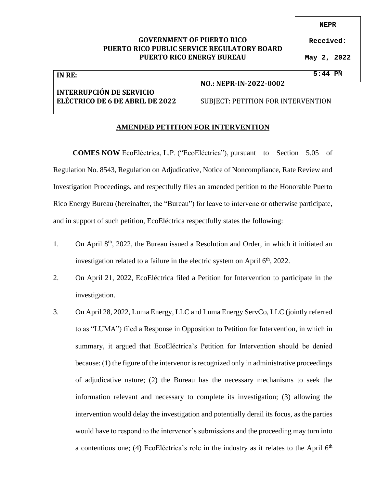## **GOVERNMENT OF PUERTO RICO PUERTO RICO PUBLIC SERVICE REGULATORY BOARD PUERTO RICO ENERGY BUREAU**

**NEPR**

**Received:**

**May 2, 2022**

| IN RE:                          |                                    | $5:44$ PM |  |
|---------------------------------|------------------------------------|-----------|--|
|                                 | NO.: NEPR-IN-2022-0002             |           |  |
| <b>INTERRUPCIÓN DE SERVICIO</b> |                                    |           |  |
| ELECTRICO DE 6 DE ABRIL DE 2022 | SUBJECT: PETITION FOR INTERVENTION |           |  |

## **AMENDED PETITION FOR INTERVENTION**

**COMES NOW** EcoEléctrica, L.P. ("EcoEléctrica"), pursuant to Section 5.05 of Regulation No. 8543, Regulation on Adjudicative, Notice of Noncompliance, Rate Review and Investigation Proceedings, and respectfully files an amended petition to the Honorable Puerto Rico Energy Bureau (hereinafter, the "Bureau") for leave to intervene or otherwise participate, and in support of such petition, EcoEléctrica respectfully states the following:

- 1. On April  $8<sup>th</sup>$ , 2022, the Bureau issued a Resolution and Order, in which it initiated an investigation related to a failure in the electric system on April  $6<sup>th</sup>$ , 2022.
- 2. On April 21, 2022, EcoEléctrica filed a Petition for Intervention to participate in the investigation.
- 3. On April 28, 2022, Luma Energy, LLC and Luma Energy ServCo, LLC (jointly referred to as "LUMA") filed a Response in Opposition to Petition for Intervention, in which in summary, it argued that EcoEléctrica's Petition for Intervention should be denied because: (1) the figure of the intervenor is recognized only in administrative proceedings of adjudicative nature; (2) the Bureau has the necessary mechanisms to seek the information relevant and necessary to complete its investigation; (3) allowing the intervention would delay the investigation and potentially derail its focus, as the parties would have to respond to the intervenor's submissions and the proceeding may turn into a contentious one; (4) EcoEléctrica's role in the industry as it relates to the April  $6<sup>th</sup>$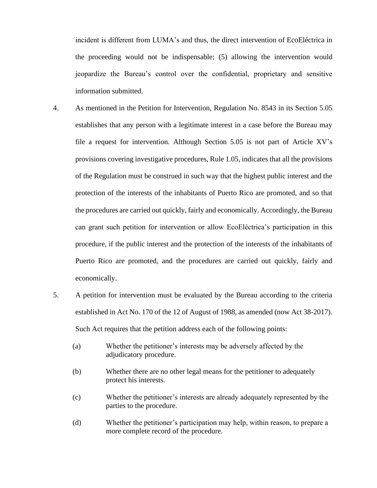incident is different from LUMA's and thus, the direct intervention of EcoEléctrica in the proceeding would not be indispensable; (5) allowing the intervention would jeopardize the Bureau's control over the confidential, proprietary and sensitive information submitted.

- 4. As mentioned in the Petition for Intervention, Regulation No. 8543 in its Section 5.05 establishes that any person with a legitimate interest in a case before the Bureau may file a request for intervention. Although Section 5.05 is not part of Article XV's provisions covering investigative procedures, Rule 1.05, indicates that all the provisions of the Regulation must be construed in such way that the highest public interest and the protection of the interests of the inhabitants of Puerto Rico are promoted, and so that the procedures are carried out quickly, fairly and economically. Accordingly, the Bureau can grant such petition for intervention or allow EcoEléctrica's participation in this procedure, if the public interest and the protection of the interests of the inhabitants of Puerto Rico are promoted, and the procedures are carried out quickly, fairly and economically.
- 5. A petition for intervention must be evaluated by the Bureau according to the criteria established in Act No. 170 of the 12 of August of 1988, as amended (now Act 38-2017). Such Act requires that the petition address each of the following points:
	- (a) Whether the petitioner's interests may be adversely affected by the adjudicatory procedure.
	- (b) Whether there are no other legal means for the petitioner to adequately protect his interests.
	- (c) Whether the petitioner's interests are already adequately represented by the parties to the procedure.
	- (d) Whether the petitioner's participation may help, within reason, to prepare a more complete record of the procedure.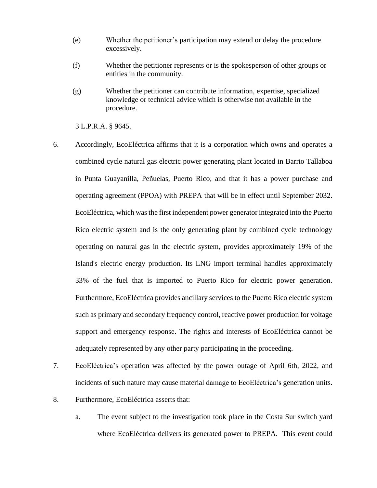- (e) Whether the petitioner's participation may extend or delay the procedure excessively.
- (f) Whether the petitioner represents or is the spokesperson of other groups or entities in the community.
- (g) Whether the petitioner can contribute information, expertise, specialized knowledge or technical advice which is otherwise not available in the procedure.

3 L.P.R.A. § 9645.

- 6. Accordingly, EcoEléctrica affirms that it is a corporation which owns and operates a combined cycle natural gas electric power generating plant located in Barrio Tallaboa in Punta Guayanilla, Peñuelas, Puerto Rico, and that it has a power purchase and operating agreement (PPOA) with PREPA that will be in effect until September 2032. EcoEléctrica, which was the first independent power generator integrated into the Puerto Rico electric system and is the only generating plant by combined cycle technology operating on natural gas in the electric system, provides approximately 19% of the Island's electric energy production. Its LNG import terminal handles approximately 33% of the fuel that is imported to Puerto Rico for electric power generation. Furthermore, EcoEléctrica provides ancillary services to the Puerto Rico electric system such as primary and secondary frequency control, reactive power production for voltage support and emergency response. The rights and interests of EcoEléctrica cannot be adequately represented by any other party participating in the proceeding.
- 7. EcoEléctrica's operation was affected by the power outage of April 6th, 2022, and incidents of such nature may cause material damage to EcoEléctrica's generation units.
- 8. Furthermore, EcoEléctrica asserts that:
	- a. The event subject to the investigation took place in the Costa Sur switch yard where EcoEléctrica delivers its generated power to PREPA. This event could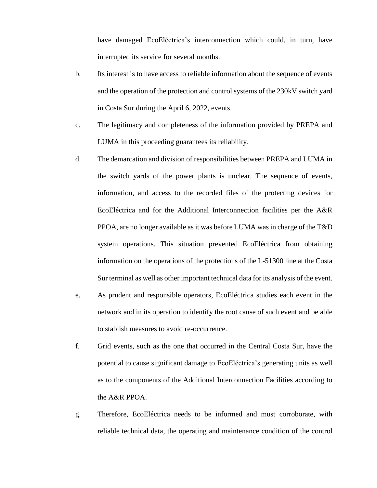have damaged EcoEléctrica's interconnection which could, in turn, have interrupted its service for several months.

- b. Its interest is to have access to reliable information about the sequence of events and the operation of the protection and control systems of the 230kV switch yard in Costa Sur during the April 6, 2022, events.
- c. The legitimacy and completeness of the information provided by PREPA and LUMA in this proceeding guarantees its reliability.
- d. The demarcation and division of responsibilities between PREPA and LUMA in the switch yards of the power plants is unclear. The sequence of events, information, and access to the recorded files of the protecting devices for EcoEléctrica and for the Additional Interconnection facilities per the A&R PPOA, are no longer available as it was before LUMA was in charge of the T&D system operations. This situation prevented EcoEléctrica from obtaining information on the operations of the protections of the L-51300 line at the Costa Sur terminal as well as other important technical data for its analysis of the event.
- e. As prudent and responsible operators, EcoEléctrica studies each event in the network and in its operation to identify the root cause of such event and be able to stablish measures to avoid re-occurrence.
- f. Grid events, such as the one that occurred in the Central Costa Sur, have the potential to cause significant damage to EcoEléctrica's generating units as well as to the components of the Additional Interconnection Facilities according to the A&R PPOA.
- g. Therefore, EcoEléctrica needs to be informed and must corroborate, with reliable technical data, the operating and maintenance condition of the control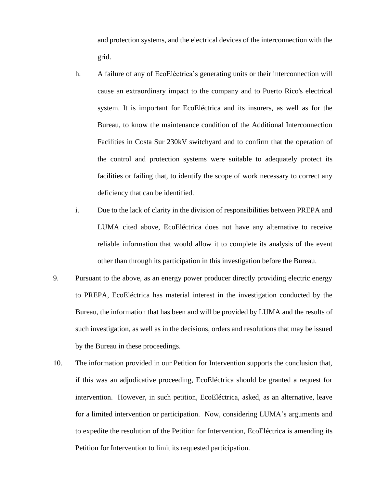and protection systems, and the electrical devices of the interconnection with the grid.

- h. A failure of any of EcoEléctrica's generating units or their interconnection will cause an extraordinary impact to the company and to Puerto Rico's electrical system. It is important for EcoEléctrica and its insurers, as well as for the Bureau, to know the maintenance condition of the Additional Interconnection Facilities in Costa Sur 230kV switchyard and to confirm that the operation of the control and protection systems were suitable to adequately protect its facilities or failing that, to identify the scope of work necessary to correct any deficiency that can be identified.
- i. Due to the lack of clarity in the division of responsibilities between PREPA and LUMA cited above, EcoEléctrica does not have any alternative to receive reliable information that would allow it to complete its analysis of the event other than through its participation in this investigation before the Bureau.
- 9. Pursuant to the above, as an energy power producer directly providing electric energy to PREPA, EcoEléctrica has material interest in the investigation conducted by the Bureau, the information that has been and will be provided by LUMA and the results of such investigation, as well as in the decisions, orders and resolutions that may be issued by the Bureau in these proceedings.
- 10. The information provided in our Petition for Intervention supports the conclusion that, if this was an adjudicative proceeding, EcoEléctrica should be granted a request for intervention. However, in such petition, EcoEléctrica, asked, as an alternative, leave for a limited intervention or participation. Now, considering LUMA's arguments and to expedite the resolution of the Petition for Intervention, EcoEléctrica is amending its Petition for Intervention to limit its requested participation.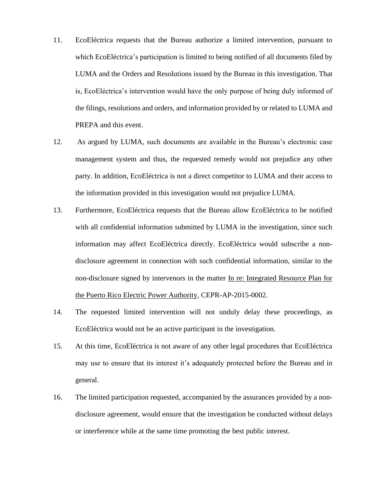- 11. EcoEléctrica requests that the Bureau authorize a limited intervention, pursuant to which EcoEléctrica's participation is limited to being notified of all documents filed by LUMA and the Orders and Resolutions issued by the Bureau in this investigation. That is, EcoEléctrica's intervention would have the only purpose of being duly informed of the filings, resolutions and orders, and information provided by or related to LUMA and PREPA and this event.
- 12. As argued by LUMA, such documents are available in the Bureau's electronic case management system and thus, the requested remedy would not prejudice any other party. In addition, EcoEléctrica is not a direct competitor to LUMA and their access to the information provided in this investigation would not prejudice LUMA.
- 13. Furthermore, EcoEléctrica requests that the Bureau allow EcoEléctrica to be notified with all confidential information submitted by LUMA in the investigation, since such information may affect EcoEléctrica directly. EcoEléctrica would subscribe a nondisclosure agreement in connection with such confidential information, similar to the non-disclosure signed by intervenors in the matter In re: Integrated Resource Plan for the Puerto Rico Electric Power Authority, CEPR-AP-2015-0002.
- 14. The requested limited intervention will not unduly delay these proceedings, as EcoEléctrica would not be an active participant in the investigation.
- 15. At this time, EcoEléctrica is not aware of any other legal procedures that EcoEléctrica may use to ensure that its interest it's adequately protected before the Bureau and in general.
- 16. The limited participation requested, accompanied by the assurances provided by a nondisclosure agreement, would ensure that the investigation be conducted without delays or interference while at the same time promoting the best public interest.